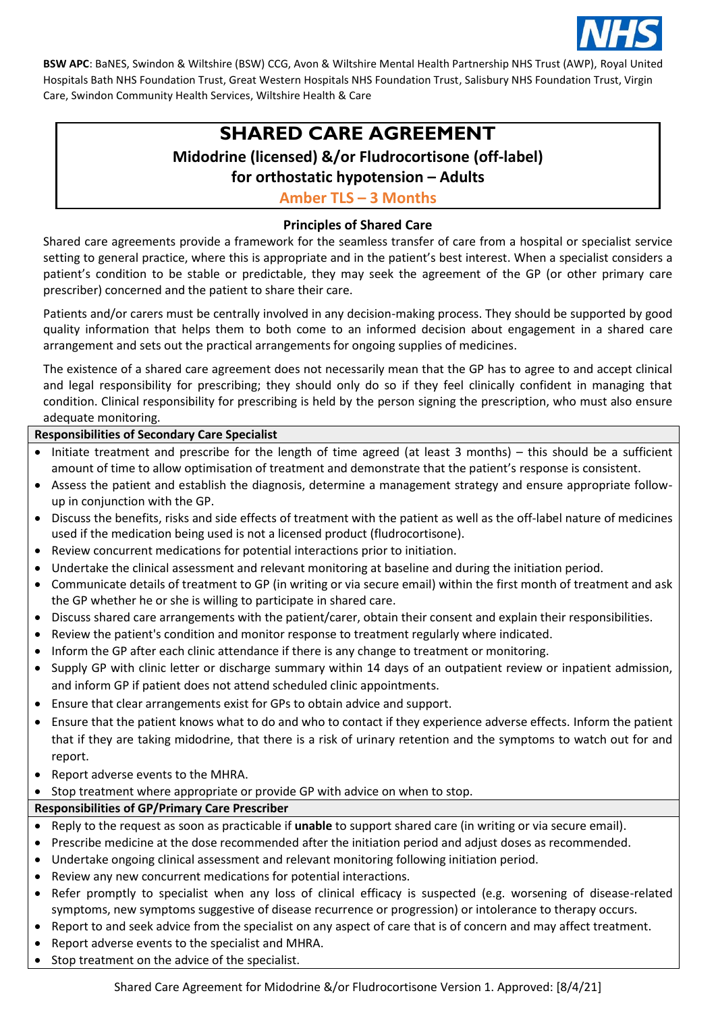

# **SHARED CARE AGREEMENT**

# **Midodrine (licensed) &/or Fludrocortisone (off-label)**

**for orthostatic hypotension – Adults**

**Amber TLS – 3 Months**

#### **Principles of Shared Care**

Shared care agreements provide a framework for the seamless transfer of care from a hospital or specialist service setting to general practice, where this is appropriate and in the patient's best interest. When a specialist considers a patient's condition to be stable or predictable, they may seek the agreement of the GP (or other primary care prescriber) concerned and the patient to share their care.

Patients and/or carers must be centrally involved in any decision-making process. They should be supported by good quality information that helps them to both come to an informed decision about engagement in a shared care arrangement and sets out the practical arrangements for ongoing supplies of medicines.

The existence of a shared care agreement does not necessarily mean that the GP has to agree to and accept clinical and legal responsibility for prescribing; they should only do so if they feel clinically confident in managing that condition. Clinical responsibility for prescribing is held by the person signing the prescription, who must also ensure adequate monitoring.

#### **Responsibilities of Secondary Care Specialist**

- Initiate treatment and prescribe for the length of time agreed (at least 3 months) this should be a sufficient amount of time to allow optimisation of treatment and demonstrate that the patient's response is consistent.
- Assess the patient and establish the diagnosis, determine a management strategy and ensure appropriate followup in conjunction with the GP.
- Discuss the benefits, risks and side effects of treatment with the patient as well as the off-label nature of medicines used if the medication being used is not a licensed product (fludrocortisone).
- Review concurrent medications for potential interactions prior to initiation.
- Undertake the clinical assessment and relevant monitoring at baseline and during the initiation period.
- Communicate details of treatment to GP (in writing or via secure email) within the first month of treatment and ask the GP whether he or she is willing to participate in shared care.
- Discuss shared care arrangements with the patient/carer, obtain their consent and explain their responsibilities.
- Review the patient's condition and monitor response to treatment regularly where indicated.
- Inform the GP after each clinic attendance if there is any change to treatment or monitoring.
- Supply GP with clinic letter or discharge summary within 14 days of an outpatient review or inpatient admission, and inform GP if patient does not attend scheduled clinic appointments.
- Ensure that clear arrangements exist for GPs to obtain advice and support.
- Ensure that the patient knows what to do and who to contact if they experience adverse effects. Inform the patient that if they are taking midodrine, that there is a risk of urinary retention and the symptoms to watch out for and report.
- Report adverse events to the MHRA.
- Stop treatment where appropriate or provide GP with advice on when to stop.

### **Responsibilities of GP/Primary Care Prescriber**

- Reply to the request as soon as practicable if **unable** to support shared care (in writing or via secure email).
- Prescribe medicine at the dose recommended after the initiation period and adjust doses as recommended.
- Undertake ongoing clinical assessment and relevant monitoring following initiation period.
- Review any new concurrent medications for potential interactions.
- Refer promptly to specialist when any loss of clinical efficacy is suspected (e.g. worsening of disease-related symptoms, new symptoms suggestive of disease recurrence or progression) or intolerance to therapy occurs.
- Report to and seek advice from the specialist on any aspect of care that is of concern and may affect treatment.
- Report adverse events to the specialist and MHRA.
- Stop treatment on the advice of the specialist.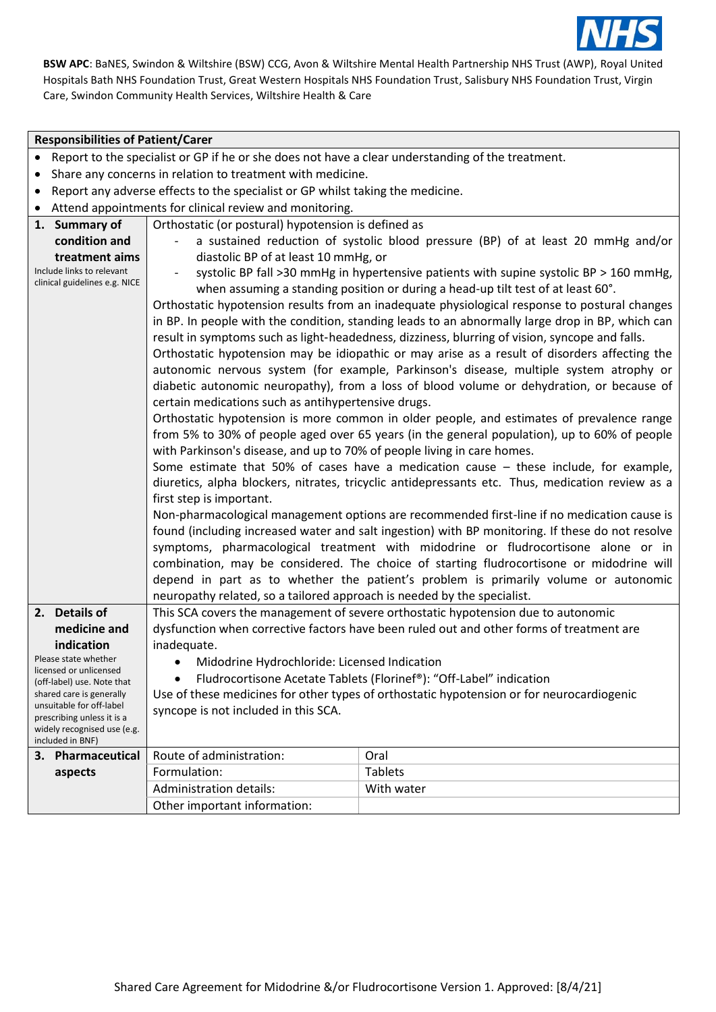

#### **Responsibilities of Patient/Carer**

- Share any concerns in relation to treatment with medicine.
- Report any adverse effects to the specialist or GP whilst taking the medicine.
- Attend appointments for clinical review and monitoring.

|                                                            | Attend appointments for clinical review and monitoring.                                          |                                                                                                  |  |
|------------------------------------------------------------|--------------------------------------------------------------------------------------------------|--------------------------------------------------------------------------------------------------|--|
| 1. Summary of                                              | Orthostatic (or postural) hypotension is defined as                                              |                                                                                                  |  |
| condition and                                              |                                                                                                  | a sustained reduction of systolic blood pressure (BP) of at least 20 mmHg and/or                 |  |
| treatment aims                                             | diastolic BP of at least 10 mmHg, or                                                             |                                                                                                  |  |
| Include links to relevant<br>clinical guidelines e.g. NICE | systolic BP fall >30 mmHg in hypertensive patients with supine systolic BP > 160 mmHg,           |                                                                                                  |  |
|                                                            |                                                                                                  | when assuming a standing position or during a head-up tilt test of at least 60°.                 |  |
|                                                            |                                                                                                  | Orthostatic hypotension results from an inadequate physiological response to postural changes    |  |
|                                                            |                                                                                                  | in BP. In people with the condition, standing leads to an abnormally large drop in BP, which can |  |
|                                                            |                                                                                                  | result in symptoms such as light-headedness, dizziness, blurring of vision, syncope and falls.   |  |
|                                                            |                                                                                                  | Orthostatic hypotension may be idiopathic or may arise as a result of disorders affecting the    |  |
|                                                            |                                                                                                  | autonomic nervous system (for example, Parkinson's disease, multiple system atrophy or           |  |
|                                                            |                                                                                                  | diabetic autonomic neuropathy), from a loss of blood volume or dehydration, or because of        |  |
|                                                            | certain medications such as antihypertensive drugs.                                              |                                                                                                  |  |
|                                                            |                                                                                                  | Orthostatic hypotension is more common in older people, and estimates of prevalence range        |  |
|                                                            |                                                                                                  | from 5% to 30% of people aged over 65 years (in the general population), up to 60% of people     |  |
|                                                            | with Parkinson's disease, and up to 70% of people living in care homes.                          |                                                                                                  |  |
|                                                            | Some estimate that 50% of cases have a medication cause $-$ these include, for example,          |                                                                                                  |  |
|                                                            | diuretics, alpha blockers, nitrates, tricyclic antidepressants etc. Thus, medication review as a |                                                                                                  |  |
|                                                            | first step is important.                                                                         |                                                                                                  |  |
|                                                            | Non-pharmacological management options are recommended first-line if no medication cause is      |                                                                                                  |  |
|                                                            | found (including increased water and salt ingestion) with BP monitoring. If these do not resolve |                                                                                                  |  |
|                                                            |                                                                                                  | symptoms, pharmacological treatment with midodrine or fludrocortisone alone or in                |  |
|                                                            |                                                                                                  | combination, may be considered. The choice of starting fludrocortisone or midodrine will         |  |
|                                                            |                                                                                                  | depend in part as to whether the patient's problem is primarily volume or autonomic              |  |
|                                                            | neuropathy related, so a tailored approach is needed by the specialist.                          |                                                                                                  |  |
| 2. Details of                                              |                                                                                                  | This SCA covers the management of severe orthostatic hypotension due to autonomic                |  |
| medicine and                                               |                                                                                                  | dysfunction when corrective factors have been ruled out and other forms of treatment are         |  |
| indication                                                 | inadequate.                                                                                      |                                                                                                  |  |
| Please state whether                                       | Midodrine Hydrochloride: Licensed Indication<br>$\bullet$                                        |                                                                                                  |  |
| licensed or unlicensed<br>(off-label) use. Note that       | Fludrocortisone Acetate Tablets (Florinef®): "Off-Label" indication                              |                                                                                                  |  |
| shared care is generally                                   | Use of these medicines for other types of orthostatic hypotension or for neurocardiogenic        |                                                                                                  |  |
| unsuitable for off-label                                   | syncope is not included in this SCA.                                                             |                                                                                                  |  |
| prescribing unless it is a<br>widely recognised use (e.g.  |                                                                                                  |                                                                                                  |  |
| included in BNF)                                           |                                                                                                  |                                                                                                  |  |
| 3. Pharmaceutical                                          | Route of administration:                                                                         | Oral                                                                                             |  |
| aspects                                                    | Formulation:                                                                                     | <b>Tablets</b>                                                                                   |  |
|                                                            | <b>Administration details:</b>                                                                   | With water                                                                                       |  |
|                                                            | Other important information:                                                                     |                                                                                                  |  |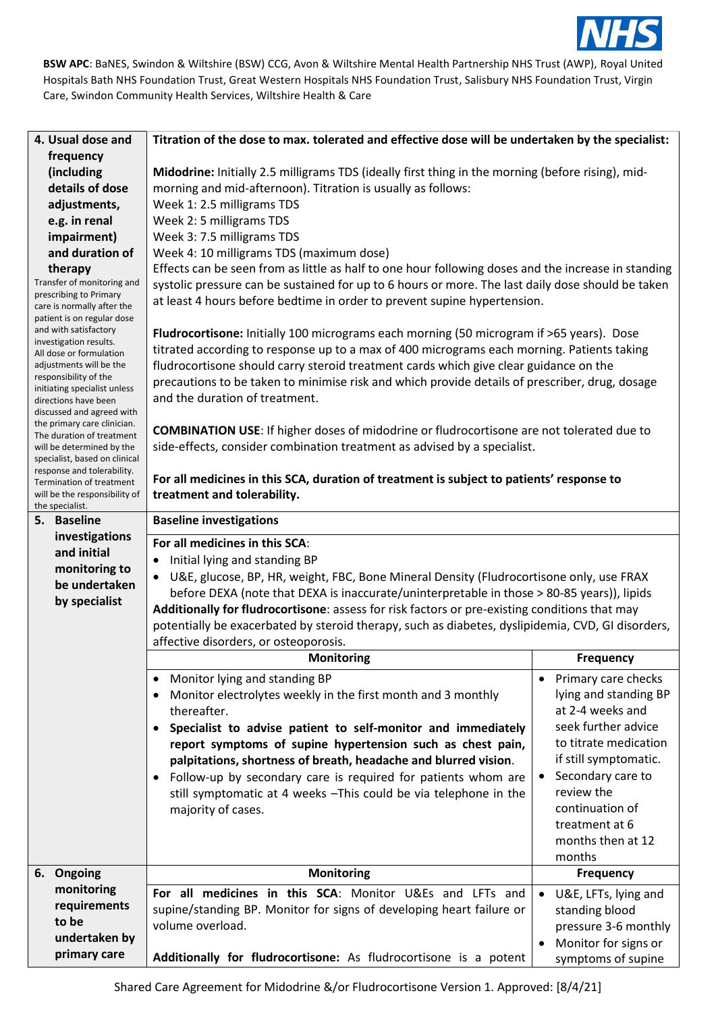

| 4. Usual dose and                                          | Titration of the dose to max. tolerated and effective dose will be undertaken by the specialist:     |                                   |  |
|------------------------------------------------------------|------------------------------------------------------------------------------------------------------|-----------------------------------|--|
| frequency                                                  |                                                                                                      |                                   |  |
| (including                                                 | Midodrine: Initially 2.5 milligrams TDS (ideally first thing in the morning (before rising), mid-    |                                   |  |
| details of dose                                            | morning and mid-afternoon). Titration is usually as follows:                                         |                                   |  |
| adjustments,                                               | Week 1: 2.5 milligrams TDS                                                                           |                                   |  |
| e.g. in renal                                              | Week 2: 5 milligrams TDS                                                                             |                                   |  |
| impairment)                                                | Week 3: 7.5 milligrams TDS                                                                           |                                   |  |
| and duration of                                            | Week 4: 10 milligrams TDS (maximum dose)                                                             |                                   |  |
| therapy                                                    | Effects can be seen from as little as half to one hour following doses and the increase in standing  |                                   |  |
| Transfer of monitoring and<br>prescribing to Primary       | systolic pressure can be sustained for up to 6 hours or more. The last daily dose should be taken    |                                   |  |
| care is normally after the                                 | at least 4 hours before bedtime in order to prevent supine hypertension.                             |                                   |  |
| patient is on regular dose<br>and with satisfactory        |                                                                                                      |                                   |  |
| investigation results.                                     | Fludrocortisone: Initially 100 micrograms each morning (50 microgram if >65 years). Dose             |                                   |  |
| All dose or formulation                                    | titrated according to response up to a max of 400 micrograms each morning. Patients taking           |                                   |  |
| adjustments will be the<br>responsibility of the           | fludrocortisone should carry steroid treatment cards which give clear guidance on the                |                                   |  |
| initiating specialist unless                               | precautions to be taken to minimise risk and which provide details of prescriber, drug, dosage       |                                   |  |
| directions have been                                       | and the duration of treatment.                                                                       |                                   |  |
| discussed and agreed with<br>the primary care clinician.   |                                                                                                      |                                   |  |
| The duration of treatment                                  | <b>COMBINATION USE:</b> If higher doses of midodrine or fludrocortisone are not tolerated due to     |                                   |  |
| will be determined by the<br>specialist, based on clinical | side-effects, consider combination treatment as advised by a specialist.                             |                                   |  |
| response and tolerability.                                 |                                                                                                      |                                   |  |
| Termination of treatment                                   | For all medicines in this SCA, duration of treatment is subject to patients' response to             |                                   |  |
| will be the responsibility of<br>the specialist.           | treatment and tolerability.                                                                          |                                   |  |
| 5. Baseline                                                | <b>Baseline investigations</b>                                                                       |                                   |  |
| investigations                                             | For all medicines in this SCA:                                                                       |                                   |  |
| and initial                                                | Initial lying and standing BP                                                                        |                                   |  |
| monitoring to                                              | U&E, glucose, BP, HR, weight, FBC, Bone Mineral Density (Fludrocortisone only, use FRAX<br>$\bullet$ |                                   |  |
| be undertaken                                              | before DEXA (note that DEXA is inaccurate/uninterpretable in those > 80-85 years)), lipids           |                                   |  |
| by specialist                                              | Additionally for fludrocortisone: assess for risk factors or pre-existing conditions that may        |                                   |  |
|                                                            | potentially be exacerbated by steroid therapy, such as diabetes, dyslipidemia, CVD, GI disorders,    |                                   |  |
|                                                            | affective disorders, or osteoporosis.                                                                |                                   |  |
|                                                            | <b>Monitoring</b>                                                                                    | <b>Frequency</b>                  |  |
|                                                            | Monitor lying and standing BP                                                                        | • Primary care checks             |  |
|                                                            | Monitor electrolytes weekly in the first month and 3 monthly                                         | lying and standing BP             |  |
|                                                            | thereafter.                                                                                          | at 2-4 weeks and                  |  |
|                                                            | Specialist to advise patient to self-monitor and immediately<br>$\bullet$                            | seek further advice               |  |
|                                                            | report symptoms of supine hypertension such as chest pain,                                           | to titrate medication             |  |
|                                                            | palpitations, shortness of breath, headache and blurred vision.                                      | if still symptomatic.             |  |
|                                                            | Follow-up by secondary care is required for patients whom are<br>$\bullet$                           | Secondary care to                 |  |
|                                                            | still symptomatic at 4 weeks - This could be via telephone in the                                    | review the                        |  |
|                                                            | majority of cases.                                                                                   | continuation of                   |  |
|                                                            |                                                                                                      | treatment at 6                    |  |
|                                                            |                                                                                                      | months then at 12                 |  |
|                                                            |                                                                                                      | months                            |  |
| 6. Ongoing                                                 | <b>Monitoring</b>                                                                                    | <b>Frequency</b>                  |  |
| monitoring                                                 | For all medicines in this SCA: Monitor U&Es and LFTs and                                             | U&E, LFTs, lying and<br>$\bullet$ |  |
| requirements<br>to be                                      | supine/standing BP. Monitor for signs of developing heart failure or                                 | standing blood                    |  |
|                                                            | volume overload.<br>pressure 3-6 monthly                                                             |                                   |  |
| undertaken by                                              |                                                                                                      | Monitor for signs or<br>$\bullet$ |  |
| primary care                                               | Additionally for fludrocortisone: As fludrocortisone is a potent                                     | symptoms of supine                |  |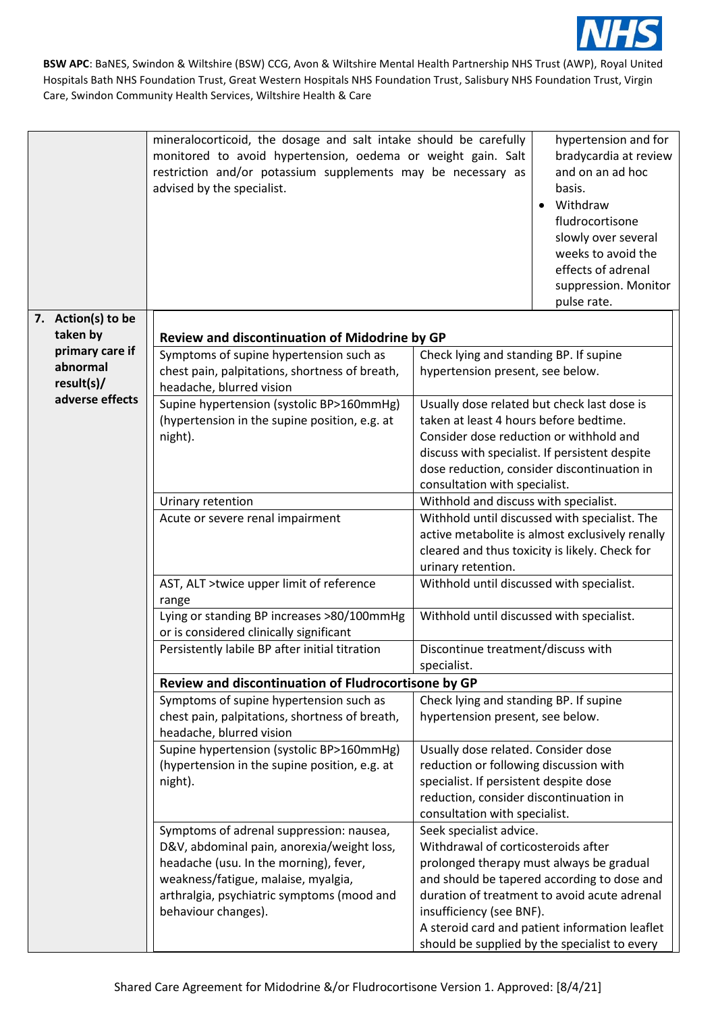

|                                                               | mineralocorticoid, the dosage and salt intake should be carefully<br>monitored to avoid hypertension, oedema or weight gain. Salt<br>restriction and/or potassium supplements may be necessary as<br>advised by the specialist.              | hypertension and for<br>bradycardia at review<br>and on an ad hoc<br>basis.<br>Withdraw<br>$\bullet$<br>fludrocortisone<br>slowly over several<br>weeks to avoid the<br>effects of adrenal<br>suppression. Monitor<br>pulse rate.                                                                                                        |
|---------------------------------------------------------------|----------------------------------------------------------------------------------------------------------------------------------------------------------------------------------------------------------------------------------------------|------------------------------------------------------------------------------------------------------------------------------------------------------------------------------------------------------------------------------------------------------------------------------------------------------------------------------------------|
| 7. Action(s) to be<br>taken by<br>primary care if<br>abnormal | Review and discontinuation of Midodrine by GP<br>Symptoms of supine hypertension such as<br>chest pain, palpitations, shortness of breath,                                                                                                   | Check lying and standing BP. If supine<br>hypertension present, see below.                                                                                                                                                                                                                                                               |
| result(s)/<br>adverse effects                                 | headache, blurred vision<br>Supine hypertension (systolic BP>160mmHg)<br>(hypertension in the supine position, e.g. at<br>night).                                                                                                            | Usually dose related but check last dose is<br>taken at least 4 hours before bedtime.<br>Consider dose reduction or withhold and<br>discuss with specialist. If persistent despite<br>dose reduction, consider discontinuation in<br>consultation with specialist.                                                                       |
|                                                               | Urinary retention<br>Acute or severe renal impairment                                                                                                                                                                                        | Withhold and discuss with specialist.<br>Withhold until discussed with specialist. The<br>active metabolite is almost exclusively renally<br>cleared and thus toxicity is likely. Check for<br>urinary retention.                                                                                                                        |
|                                                               | AST, ALT >twice upper limit of reference<br>range                                                                                                                                                                                            | Withhold until discussed with specialist.                                                                                                                                                                                                                                                                                                |
|                                                               | Lying or standing BP increases >80/100mmHg<br>or is considered clinically significant                                                                                                                                                        | Withhold until discussed with specialist.                                                                                                                                                                                                                                                                                                |
|                                                               | Persistently labile BP after initial titration                                                                                                                                                                                               | Discontinue treatment/discuss with<br>specialist.                                                                                                                                                                                                                                                                                        |
|                                                               | Review and discontinuation of Fludrocortisone by GP                                                                                                                                                                                          |                                                                                                                                                                                                                                                                                                                                          |
|                                                               | Symptoms of supine hypertension such as<br>chest pain, palpitations, shortness of breath,<br>headache, blurred vision                                                                                                                        | Check lying and standing BP. If supine<br>hypertension present, see below.                                                                                                                                                                                                                                                               |
|                                                               | Supine hypertension (systolic BP>160mmHg)<br>(hypertension in the supine position, e.g. at<br>night).                                                                                                                                        | Usually dose related. Consider dose<br>reduction or following discussion with<br>specialist. If persistent despite dose<br>reduction, consider discontinuation in<br>consultation with specialist.                                                                                                                                       |
|                                                               | Symptoms of adrenal suppression: nausea,<br>D&V, abdominal pain, anorexia/weight loss,<br>headache (usu. In the morning), fever,<br>weakness/fatigue, malaise, myalgia,<br>arthralgia, psychiatric symptoms (mood and<br>behaviour changes). | Seek specialist advice.<br>Withdrawal of corticosteroids after<br>prolonged therapy must always be gradual<br>and should be tapered according to dose and<br>duration of treatment to avoid acute adrenal<br>insufficiency (see BNF).<br>A steroid card and patient information leaflet<br>should be supplied by the specialist to every |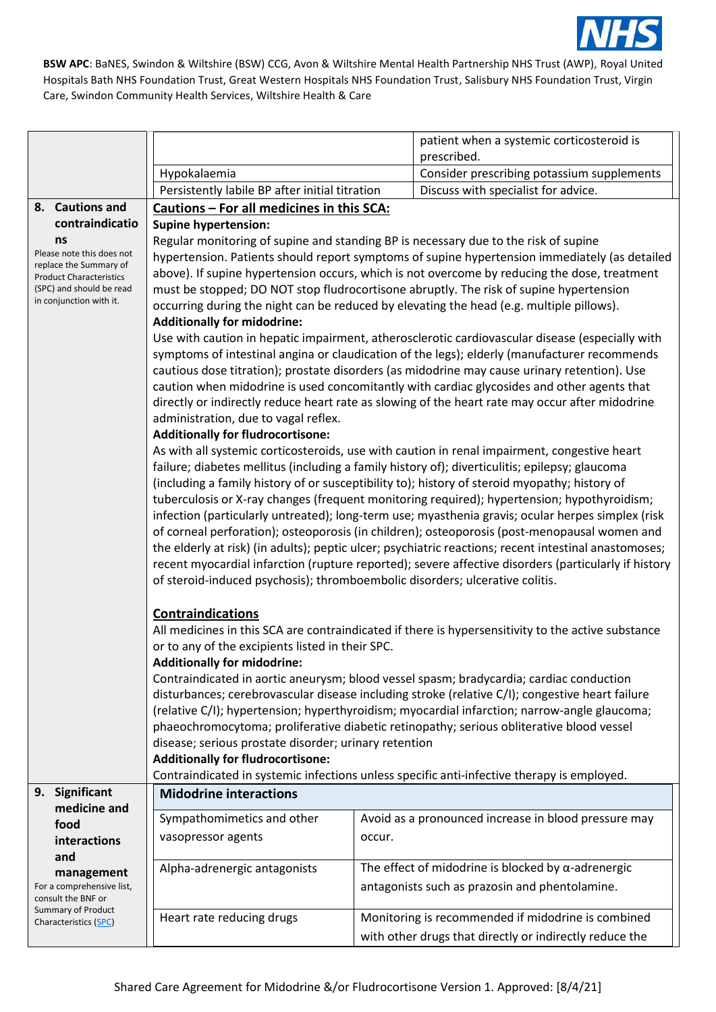

|                                                          |                                                                                                                                                                                            | patient when a systemic corticosteroid is<br>prescribed.                                        |  |
|----------------------------------------------------------|--------------------------------------------------------------------------------------------------------------------------------------------------------------------------------------------|-------------------------------------------------------------------------------------------------|--|
|                                                          | Hypokalaemia                                                                                                                                                                               | Consider prescribing potassium supplements                                                      |  |
|                                                          | Persistently labile BP after initial titration                                                                                                                                             | Discuss with specialist for advice.                                                             |  |
| 8. Cautions and                                          | Cautions - For all medicines in this SCA:                                                                                                                                                  |                                                                                                 |  |
| contraindicatio                                          | <b>Supine hypertension:</b>                                                                                                                                                                |                                                                                                 |  |
| ns                                                       |                                                                                                                                                                                            |                                                                                                 |  |
| Please note this does not                                | Regular monitoring of supine and standing BP is necessary due to the risk of supine<br>hypertension. Patients should report symptoms of supine hypertension immediately (as detailed       |                                                                                                 |  |
| replace the Summary of<br><b>Product Characteristics</b> | above). If supine hypertension occurs, which is not overcome by reducing the dose, treatment                                                                                               |                                                                                                 |  |
| (SPC) and should be read                                 | must be stopped; DO NOT stop fludrocortisone abruptly. The risk of supine hypertension                                                                                                     |                                                                                                 |  |
| in conjunction with it.                                  |                                                                                                                                                                                            | occurring during the night can be reduced by elevating the head (e.g. multiple pillows).        |  |
|                                                          | <b>Additionally for midodrine:</b>                                                                                                                                                         |                                                                                                 |  |
|                                                          |                                                                                                                                                                                            | Use with caution in hepatic impairment, atherosclerotic cardiovascular disease (especially with |  |
|                                                          |                                                                                                                                                                                            | symptoms of intestinal angina or claudication of the legs); elderly (manufacturer recommends    |  |
|                                                          |                                                                                                                                                                                            | cautious dose titration); prostate disorders (as midodrine may cause urinary retention). Use    |  |
|                                                          |                                                                                                                                                                                            | caution when midodrine is used concomitantly with cardiac glycosides and other agents that      |  |
|                                                          |                                                                                                                                                                                            | directly or indirectly reduce heart rate as slowing of the heart rate may occur after midodrine |  |
|                                                          | administration, due to vagal reflex.                                                                                                                                                       |                                                                                                 |  |
|                                                          | <b>Additionally for fludrocortisone:</b>                                                                                                                                                   |                                                                                                 |  |
|                                                          |                                                                                                                                                                                            | As with all systemic corticosteroids, use with caution in renal impairment, congestive heart    |  |
|                                                          | failure; diabetes mellitus (including a family history of); diverticulitis; epilepsy; glaucoma                                                                                             |                                                                                                 |  |
|                                                          | (including a family history of or susceptibility to); history of steroid myopathy; history of                                                                                              |                                                                                                 |  |
|                                                          | tuberculosis or X-ray changes (frequent monitoring required); hypertension; hypothyroidism;                                                                                                |                                                                                                 |  |
|                                                          | infection (particularly untreated); long-term use; myasthenia gravis; ocular herpes simplex (risk                                                                                          |                                                                                                 |  |
|                                                          | of corneal perforation); osteoporosis (in children); osteoporosis (post-menopausal women and                                                                                               |                                                                                                 |  |
|                                                          | the elderly at risk) (in adults); peptic ulcer; psychiatric reactions; recent intestinal anastomoses;                                                                                      |                                                                                                 |  |
|                                                          | recent myocardial infarction (rupture reported); severe affective disorders (particularly if history                                                                                       |                                                                                                 |  |
|                                                          | of steroid-induced psychosis); thromboembolic disorders; ulcerative colitis.                                                                                                               |                                                                                                 |  |
|                                                          | <b>Contraindications</b>                                                                                                                                                                   |                                                                                                 |  |
|                                                          | All medicines in this SCA are contraindicated if there is hypersensitivity to the active substance                                                                                         |                                                                                                 |  |
|                                                          | or to any of the excipients listed in their SPC.                                                                                                                                           |                                                                                                 |  |
|                                                          | <b>Additionally for midodrine:</b>                                                                                                                                                         |                                                                                                 |  |
|                                                          | Contraindicated in aortic aneurysm; blood vessel spasm; bradycardia; cardiac conduction<br>disturbances; cerebrovascular disease including stroke (relative C/I); congestive heart failure |                                                                                                 |  |
|                                                          |                                                                                                                                                                                            |                                                                                                 |  |
|                                                          | (relative C/I); hypertension; hyperthyroidism; myocardial infarction; narrow-angle glaucoma;                                                                                               |                                                                                                 |  |
|                                                          | phaeochromocytoma; proliferative diabetic retinopathy; serious obliterative blood vessel                                                                                                   |                                                                                                 |  |
|                                                          | disease; serious prostate disorder; urinary retention                                                                                                                                      |                                                                                                 |  |
|                                                          | <b>Additionally for fludrocortisone:</b>                                                                                                                                                   |                                                                                                 |  |
| Significant<br>9.                                        |                                                                                                                                                                                            | Contraindicated in systemic infections unless specific anti-infective therapy is employed.      |  |
| medicine and                                             | <b>Midodrine interactions</b>                                                                                                                                                              |                                                                                                 |  |
| food                                                     | Sympathomimetics and other                                                                                                                                                                 | Avoid as a pronounced increase in blood pressure may                                            |  |
| interactions                                             | vasopressor agents                                                                                                                                                                         | occur.                                                                                          |  |
| and                                                      |                                                                                                                                                                                            |                                                                                                 |  |
| management                                               | Alpha-adrenergic antagonists                                                                                                                                                               | The effect of midodrine is blocked by $\alpha$ -adrenergic                                      |  |
| For a comprehensive list,                                |                                                                                                                                                                                            | antagonists such as prazosin and phentolamine.                                                  |  |
| consult the BNF or<br><b>Summary of Product</b>          |                                                                                                                                                                                            |                                                                                                 |  |
| Characteristics (SPC)                                    | Heart rate reducing drugs                                                                                                                                                                  | Monitoring is recommended if midodrine is combined                                              |  |
|                                                          |                                                                                                                                                                                            | with other drugs that directly or indirectly reduce the                                         |  |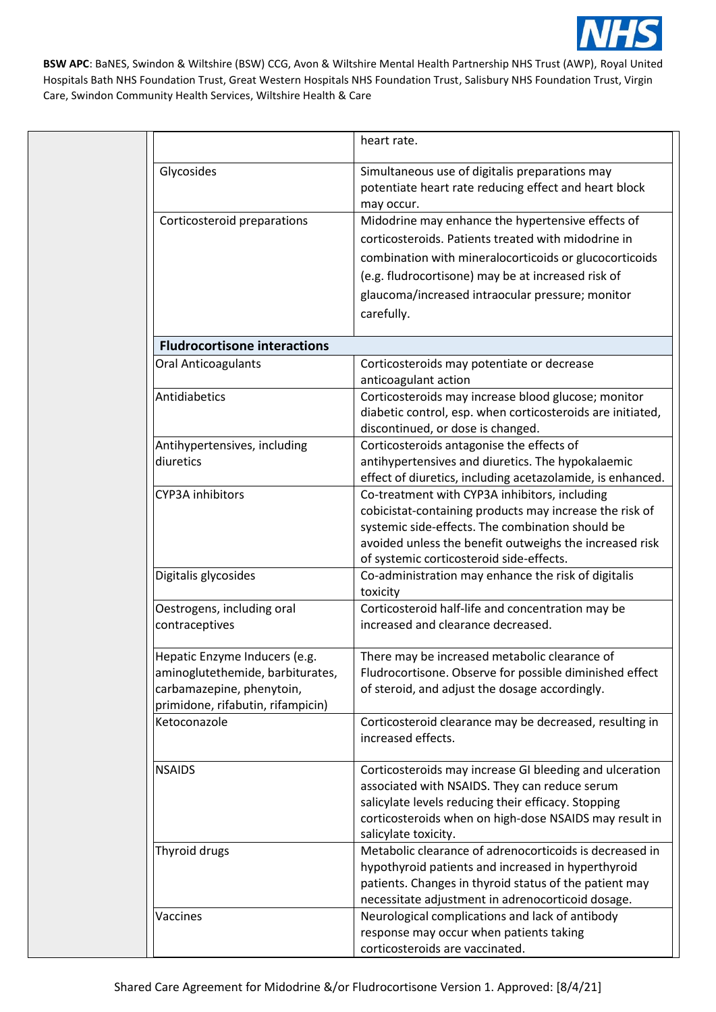

|                                                                                                                                     | heart rate.                                                                                                                                                                                                                                                                                |
|-------------------------------------------------------------------------------------------------------------------------------------|--------------------------------------------------------------------------------------------------------------------------------------------------------------------------------------------------------------------------------------------------------------------------------------------|
| Glycosides                                                                                                                          | Simultaneous use of digitalis preparations may<br>potentiate heart rate reducing effect and heart block<br>may occur.                                                                                                                                                                      |
| Corticosteroid preparations                                                                                                         | Midodrine may enhance the hypertensive effects of<br>corticosteroids. Patients treated with midodrine in<br>combination with mineralocorticoids or glucocorticoids<br>(e.g. fludrocortisone) may be at increased risk of<br>glaucoma/increased intraocular pressure; monitor<br>carefully. |
| <b>Fludrocortisone interactions</b>                                                                                                 |                                                                                                                                                                                                                                                                                            |
| <b>Oral Anticoagulants</b>                                                                                                          | Corticosteroids may potentiate or decrease<br>anticoagulant action                                                                                                                                                                                                                         |
| Antidiabetics                                                                                                                       | Corticosteroids may increase blood glucose; monitor<br>diabetic control, esp. when corticosteroids are initiated,<br>discontinued, or dose is changed.                                                                                                                                     |
| Antihypertensives, including<br>diuretics                                                                                           | Corticosteroids antagonise the effects of<br>antihypertensives and diuretics. The hypokalaemic<br>effect of diuretics, including acetazolamide, is enhanced.                                                                                                                               |
| <b>CYP3A</b> inhibitors                                                                                                             | Co-treatment with CYP3A inhibitors, including<br>cobicistat-containing products may increase the risk of<br>systemic side-effects. The combination should be<br>avoided unless the benefit outweighs the increased risk<br>of systemic corticosteroid side-effects.                        |
| Digitalis glycosides                                                                                                                | Co-administration may enhance the risk of digitalis<br>toxicity                                                                                                                                                                                                                            |
| Oestrogens, including oral<br>contraceptives                                                                                        | Corticosteroid half-life and concentration may be<br>increased and clearance decreased.                                                                                                                                                                                                    |
| Hepatic Enzyme Inducers (e.g.<br>aminoglutethemide, barbiturates,<br>carbamazepine, phenytoin,<br>primidone, rifabutin, rifampicin) | There may be increased metabolic clearance of<br>Fludrocortisone. Observe for possible diminished effect<br>of steroid, and adjust the dosage accordingly.                                                                                                                                 |
| Ketoconazole                                                                                                                        | Corticosteroid clearance may be decreased, resulting in<br>increased effects.                                                                                                                                                                                                              |
| <b>NSAIDS</b>                                                                                                                       | Corticosteroids may increase GI bleeding and ulceration<br>associated with NSAIDS. They can reduce serum<br>salicylate levels reducing their efficacy. Stopping<br>corticosteroids when on high-dose NSAIDS may result in<br>salicylate toxicity.                                          |
| Thyroid drugs                                                                                                                       | Metabolic clearance of adrenocorticoids is decreased in<br>hypothyroid patients and increased in hyperthyroid<br>patients. Changes in thyroid status of the patient may<br>necessitate adjustment in adrenocorticoid dosage.                                                               |
| Vaccines                                                                                                                            | Neurological complications and lack of antibody<br>response may occur when patients taking<br>corticosteroids are vaccinated.                                                                                                                                                              |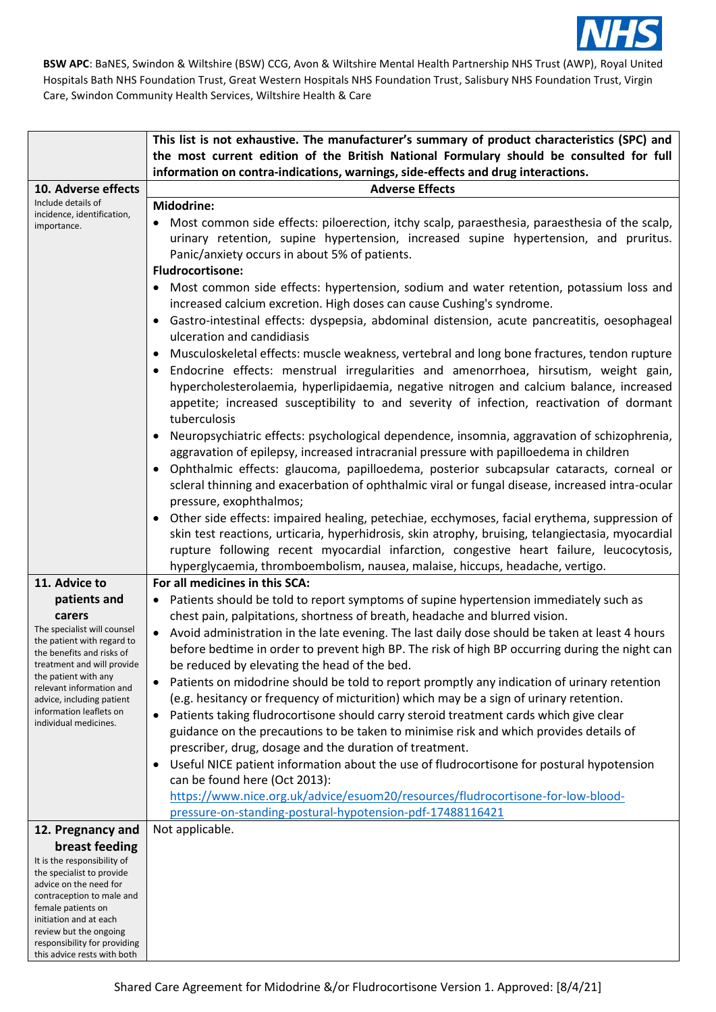

|                                                                                                                                                                                                                                                                                     | This list is not exhaustive. The manufacturer's summary of product characteristics (SPC) and                                                                                                                                                                                                                                                                                                                                                                                                                                                                                                                                                                                                                                                                                                                                                                                                                                                                                                                                                                                                                                                                                                                                                                                                                                                                                      |  |
|-------------------------------------------------------------------------------------------------------------------------------------------------------------------------------------------------------------------------------------------------------------------------------------|-----------------------------------------------------------------------------------------------------------------------------------------------------------------------------------------------------------------------------------------------------------------------------------------------------------------------------------------------------------------------------------------------------------------------------------------------------------------------------------------------------------------------------------------------------------------------------------------------------------------------------------------------------------------------------------------------------------------------------------------------------------------------------------------------------------------------------------------------------------------------------------------------------------------------------------------------------------------------------------------------------------------------------------------------------------------------------------------------------------------------------------------------------------------------------------------------------------------------------------------------------------------------------------------------------------------------------------------------------------------------------------|--|
|                                                                                                                                                                                                                                                                                     | the most current edition of the British National Formulary should be consulted for full                                                                                                                                                                                                                                                                                                                                                                                                                                                                                                                                                                                                                                                                                                                                                                                                                                                                                                                                                                                                                                                                                                                                                                                                                                                                                           |  |
|                                                                                                                                                                                                                                                                                     | information on contra-indications, warnings, side-effects and drug interactions.                                                                                                                                                                                                                                                                                                                                                                                                                                                                                                                                                                                                                                                                                                                                                                                                                                                                                                                                                                                                                                                                                                                                                                                                                                                                                                  |  |
| 10. Adverse effects                                                                                                                                                                                                                                                                 | <b>Adverse Effects</b>                                                                                                                                                                                                                                                                                                                                                                                                                                                                                                                                                                                                                                                                                                                                                                                                                                                                                                                                                                                                                                                                                                                                                                                                                                                                                                                                                            |  |
| Include details of<br>incidence, identification,<br>importance.                                                                                                                                                                                                                     | <b>Midodrine:</b><br>Most common side effects: piloerection, itchy scalp, paraesthesia, paraesthesia of the scalp,<br>urinary retention, supine hypertension, increased supine hypertension, and pruritus.<br>Panic/anxiety occurs in about 5% of patients.<br><b>Fludrocortisone:</b><br>Most common side effects: hypertension, sodium and water retention, potassium loss and<br>increased calcium excretion. High doses can cause Cushing's syndrome.<br>Gastro-intestinal effects: dyspepsia, abdominal distension, acute pancreatitis, oesophageal<br>ulceration and candidiasis<br>Musculoskeletal effects: muscle weakness, vertebral and long bone fractures, tendon rupture<br>Endocrine effects: menstrual irregularities and amenorrhoea, hirsutism, weight gain,<br>٠<br>hypercholesterolaemia, hyperlipidaemia, negative nitrogen and calcium balance, increased<br>appetite; increased susceptibility to and severity of infection, reactivation of dormant<br>tuberculosis<br>Neuropsychiatric effects: psychological dependence, insomnia, aggravation of schizophrenia,<br>aggravation of epilepsy, increased intracranial pressure with papilloedema in children<br>Ophthalmic effects: glaucoma, papilloedema, posterior subcapsular cataracts, corneal or<br>scleral thinning and exacerbation of ophthalmic viral or fungal disease, increased intra-ocular |  |
|                                                                                                                                                                                                                                                                                     | pressure, exophthalmos;<br>Other side effects: impaired healing, petechiae, ecchymoses, facial erythema, suppression of<br>skin test reactions, urticaria, hyperhidrosis, skin atrophy, bruising, telangiectasia, myocardial<br>rupture following recent myocardial infarction, congestive heart failure, leucocytosis,<br>hyperglycaemia, thromboembolism, nausea, malaise, hiccups, headache, vertigo.                                                                                                                                                                                                                                                                                                                                                                                                                                                                                                                                                                                                                                                                                                                                                                                                                                                                                                                                                                          |  |
| 11. Advice to                                                                                                                                                                                                                                                                       | For all medicines in this SCA:                                                                                                                                                                                                                                                                                                                                                                                                                                                                                                                                                                                                                                                                                                                                                                                                                                                                                                                                                                                                                                                                                                                                                                                                                                                                                                                                                    |  |
| patients and<br>carers<br>The specialist will counsel<br>the patient with regard to<br>the benefits and risks of<br>treatment and will provide<br>the patient with any<br>relevant information and<br>advice, including patient<br>information leaflets on<br>individual medicines. | • Patients should be told to report symptoms of supine hypertension immediately such as<br>chest pain, palpitations, shortness of breath, headache and blurred vision.<br>Avoid administration in the late evening. The last daily dose should be taken at least 4 hours<br>$\bullet$<br>before bedtime in order to prevent high BP. The risk of high BP occurring during the night can<br>be reduced by elevating the head of the bed.<br>Patients on midodrine should be told to report promptly any indication of urinary retention<br>٠<br>(e.g. hesitancy or frequency of micturition) which may be a sign of urinary retention.<br>Patients taking fludrocortisone should carry steroid treatment cards which give clear<br>$\bullet$<br>guidance on the precautions to be taken to minimise risk and which provides details of<br>prescriber, drug, dosage and the duration of treatment.<br>Useful NICE patient information about the use of fludrocortisone for postural hypotension<br>can be found here (Oct 2013):<br>https://www.nice.org.uk/advice/esuom20/resources/fludrocortisone-for-low-blood-<br>pressure-on-standing-postural-hypotension-pdf-17488116421                                                                                                                                                                                                    |  |
| 12. Pregnancy and                                                                                                                                                                                                                                                                   | Not applicable.                                                                                                                                                                                                                                                                                                                                                                                                                                                                                                                                                                                                                                                                                                                                                                                                                                                                                                                                                                                                                                                                                                                                                                                                                                                                                                                                                                   |  |
| breast feeding<br>It is the responsibility of<br>the specialist to provide<br>advice on the need for<br>contraception to male and<br>female patients on<br>initiation and at each<br>review but the ongoing<br>responsibility for providing<br>this advice rests with both          |                                                                                                                                                                                                                                                                                                                                                                                                                                                                                                                                                                                                                                                                                                                                                                                                                                                                                                                                                                                                                                                                                                                                                                                                                                                                                                                                                                                   |  |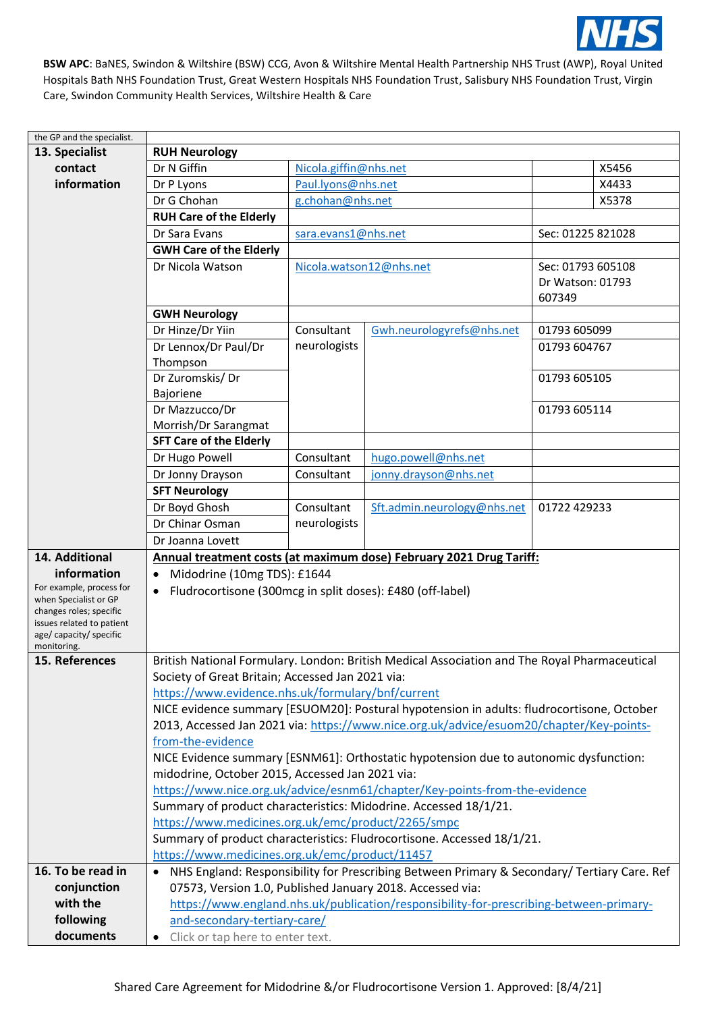

| the GP and the specialist.                           |                                                                                              |                                                           |                                                                                               |                   |  |
|------------------------------------------------------|----------------------------------------------------------------------------------------------|-----------------------------------------------------------|-----------------------------------------------------------------------------------------------|-------------------|--|
| 13. Specialist                                       | <b>RUH Neurology</b>                                                                         |                                                           |                                                                                               |                   |  |
| contact                                              | Dr N Giffin                                                                                  | Nicola.giffin@nhs.net                                     |                                                                                               | X5456             |  |
| information                                          | Dr P Lyons                                                                                   |                                                           | Paul.lyons@nhs.net                                                                            |                   |  |
|                                                      | Dr G Chohan                                                                                  | g.chohan@nhs.net                                          |                                                                                               | X5378             |  |
|                                                      | <b>RUH Care of the Elderly</b>                                                               |                                                           |                                                                                               |                   |  |
|                                                      | Dr Sara Evans                                                                                | sara.evans1@nhs.net                                       |                                                                                               | Sec: 01225 821028 |  |
|                                                      | <b>GWH Care of the Elderly</b>                                                               |                                                           |                                                                                               |                   |  |
|                                                      | Dr Nicola Watson                                                                             | Nicola.watson12@nhs.net                                   |                                                                                               | Sec: 01793 605108 |  |
|                                                      |                                                                                              |                                                           |                                                                                               | Dr Watson: 01793  |  |
|                                                      |                                                                                              |                                                           |                                                                                               | 607349            |  |
|                                                      | <b>GWH Neurology</b>                                                                         |                                                           |                                                                                               |                   |  |
|                                                      | Dr Hinze/Dr Yiin                                                                             | Consultant                                                | Gwh.neurologyrefs@nhs.net                                                                     | 01793 605099      |  |
|                                                      | Dr Lennox/Dr Paul/Dr                                                                         | neurologists                                              |                                                                                               | 01793 604767      |  |
|                                                      | Thompson                                                                                     |                                                           |                                                                                               |                   |  |
|                                                      | Dr Zuromskis/Dr                                                                              |                                                           |                                                                                               | 01793 605105      |  |
|                                                      | Bajoriene                                                                                    |                                                           |                                                                                               |                   |  |
|                                                      | Dr Mazzucco/Dr                                                                               |                                                           |                                                                                               | 01793 605114      |  |
|                                                      | Morrish/Dr Sarangmat                                                                         |                                                           |                                                                                               |                   |  |
|                                                      | <b>SFT Care of the Elderly</b>                                                               |                                                           |                                                                                               |                   |  |
|                                                      | Dr Hugo Powell                                                                               | Consultant                                                | hugo.powell@nhs.net                                                                           |                   |  |
|                                                      | Dr Jonny Drayson                                                                             | Consultant                                                | jonny.drayson@nhs.net                                                                         |                   |  |
|                                                      | <b>SFT Neurology</b>                                                                         |                                                           |                                                                                               |                   |  |
|                                                      | Dr Boyd Ghosh                                                                                | Consultant                                                | Sft.admin.neurology@nhs.net                                                                   | 01722 429233      |  |
|                                                      | Dr Chinar Osman                                                                              | neurologists                                              |                                                                                               |                   |  |
|                                                      | Dr Joanna Lovett                                                                             |                                                           |                                                                                               |                   |  |
| 14. Additional                                       |                                                                                              |                                                           |                                                                                               |                   |  |
|                                                      |                                                                                              |                                                           | Annual treatment costs (at maximum dose) February 2021 Drug Tariff:                           |                   |  |
| information<br>For example, process for              | Midodrine (10mg TDS): £1644                                                                  |                                                           |                                                                                               |                   |  |
| when Specialist or GP                                | Fludrocortisone (300mcg in split doses): £480 (off-label)<br>$\bullet$                       |                                                           |                                                                                               |                   |  |
| changes roles; specific                              |                                                                                              |                                                           |                                                                                               |                   |  |
| issues related to patient<br>age/ capacity/ specific |                                                                                              |                                                           |                                                                                               |                   |  |
| monitoring.                                          |                                                                                              |                                                           |                                                                                               |                   |  |
| 15. References                                       | British National Formulary. London: British Medical Association and The Royal Pharmaceutical |                                                           |                                                                                               |                   |  |
|                                                      | Society of Great Britain; Accessed Jan 2021 via:                                             |                                                           |                                                                                               |                   |  |
|                                                      | https://www.evidence.nhs.uk/formulary/bnf/current                                            |                                                           |                                                                                               |                   |  |
|                                                      | NICE evidence summary [ESUOM20]: Postural hypotension in adults: fludrocortisone, October    |                                                           |                                                                                               |                   |  |
|                                                      | 2013, Accessed Jan 2021 via: https://www.nice.org.uk/advice/esuom20/chapter/Key-points-      |                                                           |                                                                                               |                   |  |
|                                                      | from-the-evidence                                                                            |                                                           |                                                                                               |                   |  |
|                                                      | NICE Evidence summary [ESNM61]: Orthostatic hypotension due to autonomic dysfunction:        |                                                           |                                                                                               |                   |  |
|                                                      | midodrine, October 2015, Accessed Jan 2021 via:                                              |                                                           |                                                                                               |                   |  |
|                                                      |                                                                                              |                                                           | https://www.nice.org.uk/advice/esnm61/chapter/Key-points-from-the-evidence                    |                   |  |
|                                                      |                                                                                              |                                                           | Summary of product characteristics: Midodrine. Accessed 18/1/21.                              |                   |  |
|                                                      | https://www.medicines.org.uk/emc/product/2265/smpc                                           |                                                           |                                                                                               |                   |  |
|                                                      | Summary of product characteristics: Fludrocortisone. Accessed 18/1/21.                       |                                                           |                                                                                               |                   |  |
|                                                      | https://www.medicines.org.uk/emc/product/11457                                               |                                                           |                                                                                               |                   |  |
| 16. To be read in                                    |                                                                                              |                                                           | • NHS England: Responsibility for Prescribing Between Primary & Secondary/ Tertiary Care. Ref |                   |  |
| conjunction                                          |                                                                                              | 07573, Version 1.0, Published January 2018. Accessed via: |                                                                                               |                   |  |
| with the                                             | https://www.england.nhs.uk/publication/responsibility-for-prescribing-between-primary-       |                                                           |                                                                                               |                   |  |
| following                                            | and-secondary-tertiary-care/                                                                 |                                                           |                                                                                               |                   |  |
| documents                                            | Click or tap here to enter text.<br>$\bullet$                                                |                                                           |                                                                                               |                   |  |